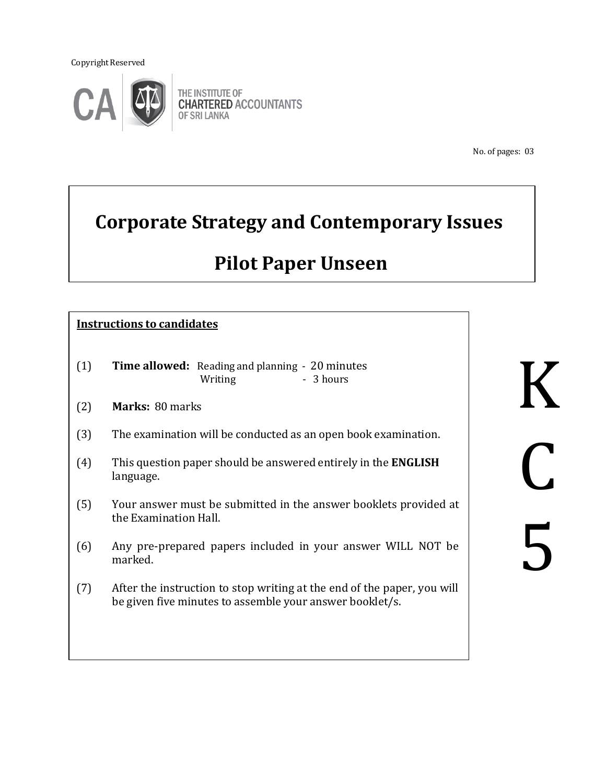Copyright Reserved



THE INSTITUTE OF **CHARTERED ACCOUNTANTS** OF SRI LANKA

No. of pages: 03

# **Corporate Strategy and Contemporary Issues**

# **Pilot Paper Unseen**

# **Instructions to candidates**

- (1) **Time allowed:** Reading and planning 20 minutes Writing - 3 hours
- (2) **Marks:** 80 marks
- (3) The examination will be conducted as an open book examination.
- (4) This question paper should be answered entirely in the **ENGLISH** language.
- (5) Your answer must be submitted in the answer booklets provided at the Examination Hall.
- (6) Any pre-prepared papers included in your answer WILL NOT be marked.
- (7) After the instruction to stop writing at the end of the paper, you will be given five minutes to assemble your answer booklet/s.

K C 5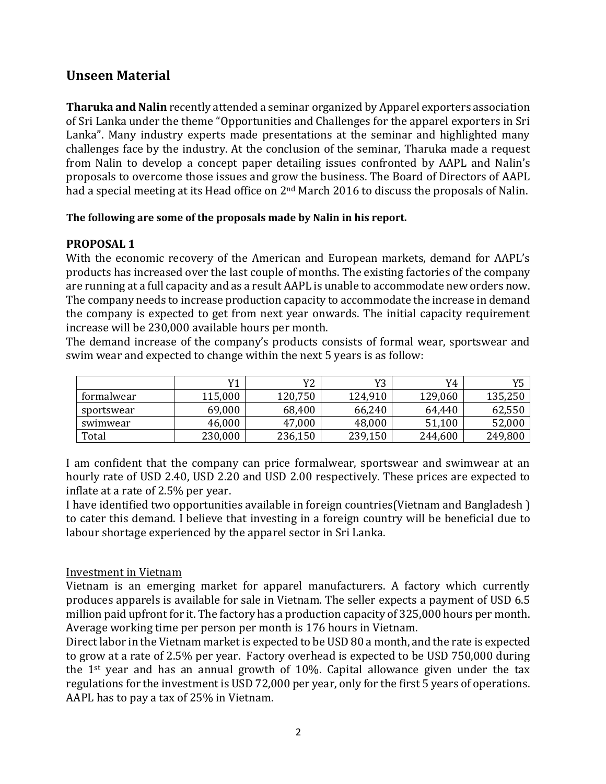# **Unseen Material**

**Tharuka and Nalin** recently attended a seminar organized by Apparel exporters association of Sri Lanka under the theme "Opportunities and Challenges for the apparel exporters in Sri Lanka". Many industry experts made presentations at the seminar and highlighted many challenges face by the industry. At the conclusion of the seminar, Tharuka made a request from Nalin to develop a concept paper detailing issues confronted by AAPL and Nalin's proposals to overcome those issues and grow the business. The Board of Directors of AAPL had a special meeting at its Head office on 2<sup>nd</sup> March 2016 to discuss the proposals of Nalin.

#### **The following are some of the proposals made by Nalin in his report.**

### **PROPOSAL 1**

With the economic recovery of the American and European markets, demand for AAPL's products has increased over the last couple of months. The existing factories of the company are running at a full capacity and as a result AAPL is unable to accommodate new orders now. The company needs to increase production capacity to accommodate the increase in demand the company is expected to get from next year onwards. The initial capacity requirement increase will be 230,000 available hours per month.

The demand increase of the company's products consists of formal wear, sportswear and swim wear and expected to change within the next 5 years is as follow:

|            | V1      | Y2      | Y3      | Y4      | vς<br>⊥ ∪ |
|------------|---------|---------|---------|---------|-----------|
| formalwear | 115,000 | 120,750 | 124,910 | 129,060 | 135,250   |
| sportswear | 69,000  | 68,400  | 66,240  | 64,440  | 62,550    |
| swimwear   | 46,000  | 47,000  | 48,000  | 51,100  | 52,000    |
| Total      | 230,000 | 236,150 | 239,150 | 244,600 | 249,800   |

I am confident that the company can price formalwear, sportswear and swimwear at an hourly rate of USD 2.40, USD 2.20 and USD 2.00 respectively. These prices are expected to inflate at a rate of 2.5% per year.

I have identified two opportunities available in foreign countries(Vietnam and Bangladesh ) to cater this demand. I believe that investing in a foreign country will be beneficial due to labour shortage experienced by the apparel sector in Sri Lanka.

### Investment in Vietnam

Vietnam is an emerging market for apparel manufacturers. A factory which currently produces apparels is available for sale in Vietnam. The seller expects a payment of USD 6.5 million paid upfront for it. The factory has a production capacity of 325,000 hours per month. Average working time per person per month is 176 hours in Vietnam.

Direct labor in the Vietnam market is expected to be USD 80 a month, and the rate is expected to grow at a rate of 2.5% per year. Factory overhead is expected to be USD 750,000 during the 1st year and has an annual growth of 10%. Capital allowance given under the tax regulations for the investment is USD 72,000 per year, only for the first 5 years of operations. AAPL has to pay a tax of 25% in Vietnam.